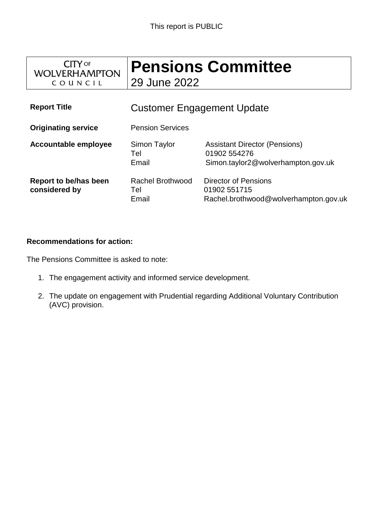

# **Pensions Committee** 29 June 2022

**Report Title** Customer Engagement Update **Originating service** Pension Services **Accountable employee** Simon Taylor Tel Email Assistant Director (Pensions) 01902 554276 Simon.taylor2@wolverhampton.gov.uk **Report to be/has been considered by** Rachel Brothwood Tel Email Director of Pensions 01902 551715 Rachel.brothwood@wolverhampton.gov.uk

#### **Recommendations for action:**

The Pensions Committee is asked to note:

- 1. The engagement activity and informed service development.
- 2. The update on engagement with Prudential regarding Additional Voluntary Contribution (AVC) provision.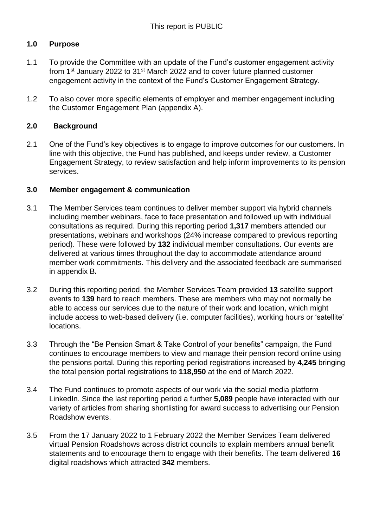# **1.0 Purpose**

- 1.1 To provide the Committee with an update of the Fund's customer engagement activity from 1<sup>st</sup> January 2022 to 31<sup>st</sup> March 2022 and to cover future planned customer engagement activity in the context of the Fund's Customer Engagement Strategy.
- 1.2 To also cover more specific elements of employer and member engagement including the Customer Engagement Plan (appendix A).

## **2.0 Background**

2.1 One of the Fund's key objectives is to engage to improve outcomes for our customers. In line with this objective, the Fund has published, and keeps under review, a Customer Engagement Strategy, to review satisfaction and help inform improvements to its pension services.

## **3.0 Member engagement & communication**

- 3.1 The Member Services team continues to deliver member support via hybrid channels including member webinars, face to face presentation and followed up with individual consultations as required. During this reporting period **1,317** members attended our presentations, webinars and workshops (24% increase compared to previous reporting period). These were followed by **132** individual member consultations. Our events are delivered at various times throughout the day to accommodate attendance around member work commitments. This delivery and the associated feedback are summarised in appendix B**.**
- 3.2 During this reporting period, the Member Services Team provided **13** satellite support events to **139** hard to reach members. These are members who may not normally be able to access our services due to the nature of their work and location, which might include access to web-based delivery (i.e. computer facilities), working hours or 'satellite' locations.
- 3.3 Through the "Be Pension Smart & Take Control of your benefits" campaign, the Fund continues to encourage members to view and manage their pension record online using the [pensions portal.](https://portal2.wmpfonline.com/) During this reporting period registrations increased by **4,245** bringing the total pension portal registrations to **118,950** at the end of March 2022.
- 3.4 The Fund continues to promote aspects of our work via the social media platform [LinkedIn.](https://www.linkedin.com/company/west-midlands-pension-fund) Since the last reporting period a further **5,089** people have interacted with our variety of articles from sharing shortlisting for award success to advertising our Pension Roadshow events.
- 3.5 From the 17 January 2022 to 1 February 2022 the Member Services Team delivered virtual Pension Roadshows across district councils to explain members annual benefit statements and to encourage them to engage with their benefits. The team delivered **16** digital roadshows which attracted **342** members.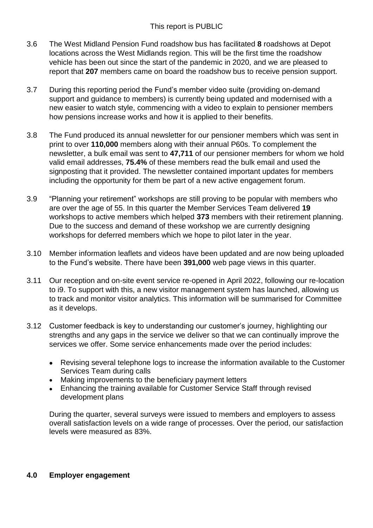- 3.6 The West Midland Pension Fund roadshow bus has facilitated **8** roadshows at Depot locations across the West Midlands region. This will be the first time the roadshow vehicle has been out since the start of the pandemic in 2020, and we are pleased to report that **207** members came on board the roadshow bus to receive pension support.
- 3.7 During this reporting period the Fund's member video suite (providing on-demand support and guidance to members) is currently being updated and modernised with a new easier to watch style, commencing with a video to explain to pensioner members how pensions increase works and how it is applied to their benefits.
- 3.8 The Fund produced its annual newsletter for our pensioner members which was sent in print to over **110,000** members along with their annual P60s. To complement the newsletter, a bulk email was sent to **47,711** of our pensioner members for whom we hold valid email addresses, **75.4%** of these members read the bulk email and used the signposting that it provided. The newsletter contained important updates for members including the opportunity for them be part of a new active engagement forum.
- 3.9 "Planning your retirement" workshops are still proving to be popular with members who are over the age of 55. In this quarter the Member Services Team delivered **19**  workshops to active members which helped **373** members with their retirement planning. Due to the success and demand of these workshop we are currently designing workshops for deferred members which we hope to pilot later in the year.
- 3.10 Member information leaflets and videos have been updated and are now being uploaded to the Fund's website. There have been **391,000** web page views in this quarter.
- 3.11 Our reception and on-site event service re-opened in April 2022, following our re-location to i9. To support with this, a new visitor management system has launched, allowing us to track and monitor visitor analytics. This information will be summarised for Committee as it develops.
- 3.12 Customer feedback is key to understanding our customer's journey, highlighting our strengths and any gaps in the service we deliver so that we can continually improve the services we offer. Some service enhancements made over the period includes:
	- Revising several telephone logs to increase the information available to the Customer Services Team during calls
	- Making improvements to the beneficiary payment letters
	- Enhancing the training available for Customer Service Staff through revised development plans

During the quarter, several surveys were issued to members and employers to assess overall satisfaction levels on a wide range of processes. Over the period, our satisfaction levels were measured as 83%.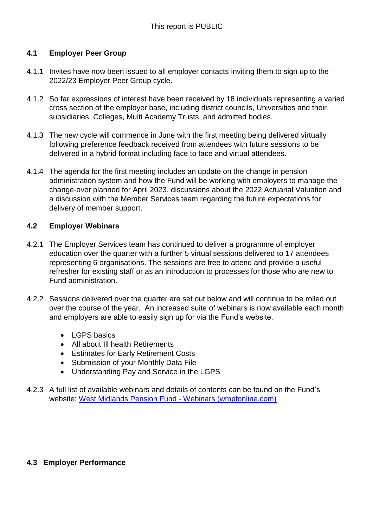## **4.1 Employer Peer Group**

- 4.1.1 Invites have now been issued to all employer contacts inviting them to sign up to the 2022/23 Employer Peer Group cycle.
- 4.1.2 So far expressions of interest have been received by 18 individuals representing a varied cross section of the employer base, including district councils, Universities and their subsidiaries, Colleges, Multi Academy Trusts, and admitted bodies.
- 4.1.3 The new cycle will commence in June with the first meeting being delivered virtually following preference feedback received from attendees with future sessions to be delivered in a hybrid format including face to face and virtual attendees.
- 4.1.4 The agenda for the first meeting includes an update on the change in pension administration system and how the Fund will be working with employers to manage the change-over planned for April 2023, discussions about the 2022 Actuarial Valuation and a discussion with the Member Services team regarding the future expectations for delivery of member support.

#### **4.2 Employer Webinars**

- 4.2.1 The Employer Services team has continued to deliver a programme of employer education over the quarter with a further 5 virtual sessions delivered to 17 attendees representing 6 organisations. The sessions are free to attend and provide a useful refresher for existing staff or as an introduction to processes for those who are new to Fund administration.
- 4.2.2 Sessions delivered over the quarter are set out below and will continue to be rolled out over the course of the year. An increased suite of webinars is now available each month and employers are able to easily sign up for via the Fund's website.
	- LGPS basics
	- All about III health Retirements
	- **•** Estimates for Early Retirement Costs
	- Submission of your Monthly Data File
	- Understanding Pay and Service in the LGPS
- 4.2.3 A full list of available webinars and details of contents can be found on the Fund's website: [West Midlands Pension Fund -](https://www.wmpfonline.com/employer/webinars) Webinars (wmpfonline.com)

## **4.3 Employer Performance**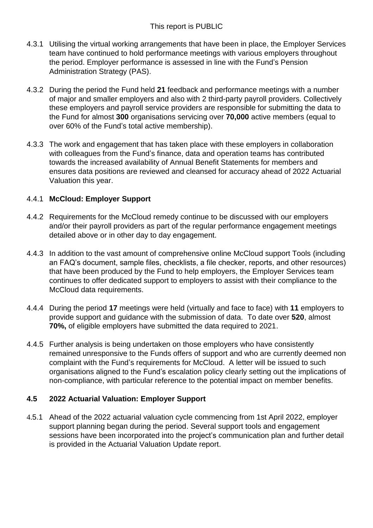- 4.3.1 Utilising the virtual working arrangements that have been in place, the Employer Services team have continued to hold performance meetings with various employers throughout the period. Employer performance is assessed in line with the Fund's Pension Administration Strategy (PAS).
- 4.3.2 During the period the Fund held **21** feedback and performance meetings with a number of major and smaller employers and also with 2 third-party payroll providers. Collectively these employers and payroll service providers are responsible for submitting the data to the Fund for almost **300** organisations servicing over **70,000** active members (equal to over 60% of the Fund's total active membership).
- 4.3.3 The work and engagement that has taken place with these employers in collaboration with colleagues from the Fund's finance, data and operation teams has contributed towards the increased availability of Annual Benefit Statements for members and ensures data positions are reviewed and cleansed for accuracy ahead of 2022 Actuarial Valuation this year.

## 4.4.1 **McCloud: Employer Support**

- 4.4.2 Requirements for the McCloud remedy continue to be discussed with our employers and/or their payroll providers as part of the regular performance engagement meetings detailed above or in other day to day engagement.
- 4.4.3 In addition to the vast amount of comprehensive online McCloud support Tools (including an FAQ's document, sample files, checklists, a file checker, reports, and other resources) that have been produced by the Fund to help employers, the Employer Services team continues to offer dedicated support to employers to assist with their compliance to the McCloud data requirements.
- 4.4.4 During the period **17** meetings were held (virtually and face to face) with **11** employers to provide support and guidance with the submission of data. To date over **520**, almost **70%,** of eligible employers have submitted the data required to 2021.
- 4.4.5 Further analysis is being undertaken on those employers who have consistently remained unresponsive to the Funds offers of support and who are currently deemed non complaint with the Fund's requirements for McCloud. A letter will be issued to such organisations aligned to the Fund's escalation policy clearly setting out the implications of non-compliance, with particular reference to the potential impact on member benefits.

## **4.5 2022 Actuarial Valuation: Employer Support**

4.5.1 Ahead of the 2022 actuarial valuation cycle commencing from 1st April 2022, employer support planning began during the period. Several support tools and engagement sessions have been incorporated into the project's communication plan and further detail is provided in the Actuarial Valuation Update report.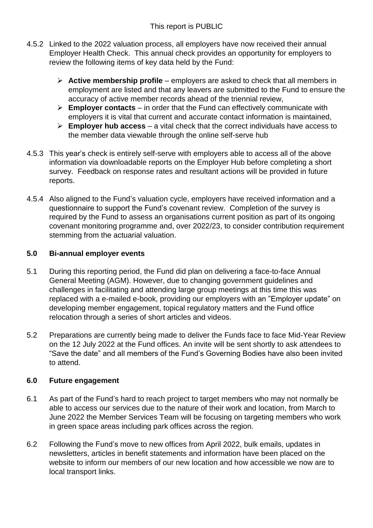- 4.5.2 Linked to the 2022 valuation process, all employers have now received their annual Employer Health Check. This annual check provides an opportunity for employers to review the following items of key data held by the Fund:
	- **Active membership profile** employers are asked to check that all members in employment are listed and that any leavers are submitted to the Fund to ensure the accuracy of active member records ahead of the triennial review,
	- **Employer contacts**  in order that the Fund can effectively communicate with employers it is vital that current and accurate contact information is maintained,
	- **Employer hub access** a vital check that the correct individuals have access to the member data viewable through the online self-serve hub
- 4.5.3 This year's check is entirely self-serve with employers able to access all of the above information via downloadable reports on the Employer Hub before completing a short survey. Feedback on response rates and resultant actions will be provided in future reports.
- 4.5.4 Also aligned to the Fund's valuation cycle, employers have received information and a questionnaire to support the Fund's covenant review. Completion of the survey is required by the Fund to assess an organisations current position as part of its ongoing covenant monitoring programme and, over 2022/23, to consider contribution requirement stemming from the actuarial valuation.

## **5.0 Bi-annual employer events**

- 5.1 During this reporting period, the Fund did plan on delivering a face-to-face Annual General Meeting (AGM). However, due to changing government guidelines and challenges in facilitating and attending large group meetings at this time this was replaced with a e-mailed e-book, providing our employers with an "Employer update" on developing member engagement, topical regulatory matters and the Fund office relocation through a series of short articles and videos.
- 5.2 Preparations are currently being made to deliver the Funds face to face Mid-Year Review on the 12 July 2022 at the Fund offices. An invite will be sent shortly to ask attendees to "Save the date" and all members of the Fund's Governing Bodies have also been invited to attend.

## **6.0 Future engagement**

- 6.1 As part of the Fund's hard to reach project to target members who may not normally be able to access our services due to the nature of their work and location, from March to June 2022 the Member Services Team will be focusing on targeting members who work in green space areas including park offices across the region.
- 6.2 Following the Fund's move to new offices from April 2022, bulk emails, updates in newsletters, articles in benefit statements and information have been placed on the website to inform our members of our new location and how accessible we now are to local transport links.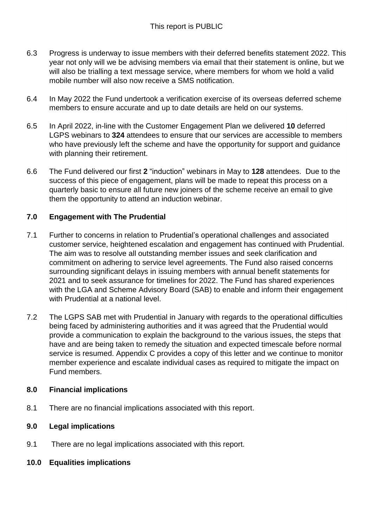- 6.3 Progress is underway to issue members with their deferred benefits statement 2022. This year not only will we be advising members via email that their statement is online, but we will also be trialling a text message service, where members for whom we hold a valid mobile number will also now receive a SMS notification.
- 6.4 In May 2022 the Fund undertook a verification exercise of its overseas deferred scheme members to ensure accurate and up to date details are held on our systems.
- 6.5 In April 2022, in-line with the Customer Engagement Plan we delivered **10** deferred LGPS webinars to **324** attendees to ensure that our services are accessible to members who have previously left the scheme and have the opportunity for support and guidance with planning their retirement.
- 6.6 The Fund delivered our first **2** "induction" webinars in May to **128** attendees. Due to the success of this piece of engagement, plans will be made to repeat this process on a quarterly basic to ensure all future new joiners of the scheme receive an email to give them the opportunity to attend an induction webinar.

## **7.0 Engagement with The Prudential**

- 7.1 Further to concerns in relation to Prudential's operational challenges and associated customer service, heightened escalation and engagement has continued with Prudential. The aim was to resolve all outstanding member issues and seek clarification and commitment on adhering to service level agreements. The Fund also raised concerns surrounding significant delays in issuing members with annual benefit statements for 2021 and to seek assurance for timelines for 2022. The Fund has shared experiences with the LGA and Scheme Advisory Board (SAB) to enable and inform their engagement with Prudential at a national level.
- 7.2 The LGPS SAB met with Prudential in January with regards to the operational difficulties being faced by administering authorities and it was agreed that the Prudential would provide a communication to explain the background to the various issues, the steps that have and are being taken to remedy the situation and expected timescale before normal service is resumed. Appendix C provides a copy of this letter and we continue to monitor member experience and escalate individual cases as required to mitigate the impact on Fund members.

## **8.0 Financial implications**

8.1 There are no financial implications associated with this report.

## **9.0 Legal implications**

- 9.1 There are no legal implications associated with this report.
- **10.0 Equalities implications**